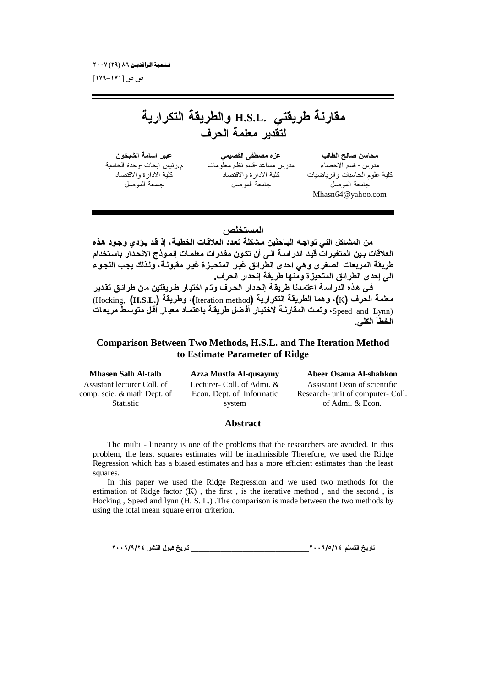ص ص [۱۷۱–۱۷۹]

مقارنة طريقتى .H.S.L والطريقة التكرارية لتقدير معلمة الحرف

عبير اسامة الشبخون م رئيس ابحاث-وحدة الحاسنة كلبة الادارة والاقتصاد جامعة الموصل

عزه مصطفى القصيمي مدرس مساعد-قسم نظم معلّو مات كلبة الادار ة والاقتصاد جامعة الموصل

محاسن صالح الطالب مدرس- قسم الاحصاء كلية علوم الحاسبات والرياضيات جامعة الموصل Mhasn64@vahoo.com

## المستخلص

من المشاكل التي تواجه الباحثين مشكلة تعدد العلاقات الخطيـة، إذ قد يـوَدي وجـود هذه العلاقات بين المتغيرات قيد الدراسة الـي أن تكون مقدرات معلمـات إنمـوذج الانـحدار باستخدام طريقة المربعات الصغرى وهي احدى الطّرائق غير المتحيزة غير مقبولـة، ولذلك يجب اللجوء الي إحدى الطرائق المتحيز ة ومنها طريقة إنحدار الحرف. في هذه الدراسة اعتمدنا طريقة إنحدار الحرف وتم اختيار طريقتين من طرائق تقدير معلمة الحرف (K)، وهما الطريقة التكرارية (Iteration method)، وطريقة (Hocking, (H.S.L.) (Speed and Lynn)، وتمت المقارنية لاختيار أفضل طريقية باعتمـاد معيـار أقل متوسط مربعـات

الخطأ الكلي.

## **Comparison Between Two Methods, H.S.L. and The Iteration Method** to Estimate Parameter of Ridge

**Mhasen Salh Al-talb** Assistant lecturer Coll. of comp. scie. & math Dept. of Statistic

**Azza Mustfa Al-qusaymy** Lecturer- Coll. of Admi. & Econ. Dept. of Informatic system

Abeer Osama Al-shabkon Assistant Dean of scientific Research- unit of computer- Coll. of Admi. & Econ.

#### **Abstract**

The multi - linearity is one of the problems that the researchers are avoided. In this problem, the least squares estimates will be inadmissible Therefore, we used the Ridge Regression which has a biased estimates and has a more efficient estimates than the least squares.

In this paper we used the Ridge Regression and we used two methods for the estimation of Ridge factor  $(K)$ , the first, is the iterative method, and the second, is Hocking, Speed and lynn (H. S. L.). The comparison is made between the two methods by using the total mean square error criterion.

\_\_ تاريخ قبول النشر ٢٠٠٦/٩/٢٤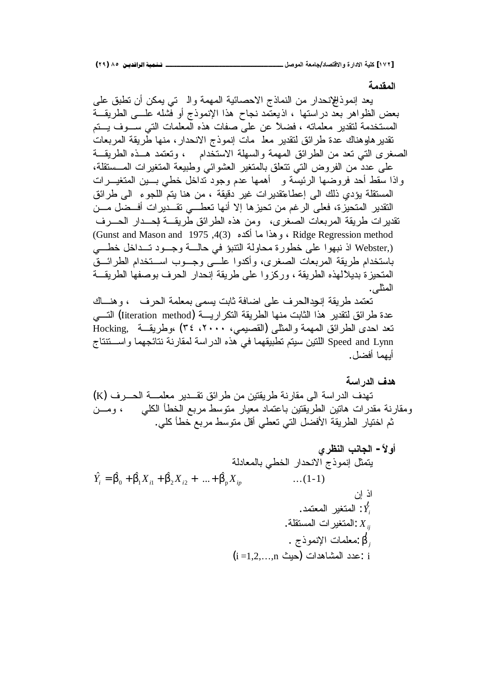**(ÏÖ) ÕÒ ÞNë¢Ë¦×ìÜàN**666666666666666666666666666666666666666666666666666666666666666666666666666666666666666666666666**¾ŮƍƆƃŒŗŶƆœŞ/ťœŮřſƙŒƍŖŧŒťƙŒŗƒƄƂ [ÎÔÏ]**

#### المقدمة

يعد إنموذاللإنحدار من النماذج الاحصائية المهمة والــ تبي يمكن أن نطبق علمي بعض الظواهر بعّد دراستها ، اذيعتّمد نجاح هذا الإنموذج أو فَشله علـــي الطريقـــة المستخدمة لتقدير معلماته ، فضلاً عن على صفات هذه المعلمات التي سـوف يــتم تقدير هاوهناك عدة طرائق لتقدير معذ مات إنموذج الانحدار، منها طريقة المربعات الصغرى التبي تعد من الطرائق المهمة والسهلة الاستخدام ، وتعتمد هــذه الطريقــة على عدد من الفروض التي نتعلق بالمتغير العشوائي وطبيعة المتغيرات المــستقلة، واذا سقط أحد فروضها الرئيسة و أهمها عدم وجود نداخل خطبي بسين المتغيسرات المستقلة يؤدي ذلك الى إعطاعتقديرات غير دقيقة ، من هنا يتم اللجوء الى طرائق النقدير المتحيزة، فعلى الرغم من تحيزها إلا أنها تعطـــي تقـــديرات أفـــضل مـــن تقديرات طريقة المربعات الصغرى، ومن هذه الطرائق طريقـــة لإحـــدار الحــــرف (Gunst and Mason and 1975 ,4(3) وهذا ما أكده (3). 4(3) Gunst and Mason and  $1975$  . (Webster اذ نبهوا على خطورة محاولة النتبؤ في حالسة وجــود تــداخل خطـــي باستخدام طريقة المربعات الصغرى، وأكدوا علـــي وجـــوب اســـتخدام الطرائـــق المتحيزة بديلألهذه الطريقة ، وركزوا على طريقة إنحدار الحرف بوصفها الطريقة المثلي.

تعتمد طريقة إنجدالحرف على اضافة ثابت يسمى بمعلمة الحرف ، وهنــاك عدة طرائق لنقدير هذا الثابت منها الطريقة النكراريـــة (Iiteration method) التـــى تعد احدى الطرائق المهمة والمثلي (القصيمي، ٢٠٠٠، ٣٤) ،وطريقــة Hocking, Speed and Lynn اللنين سيتم تطبيقهما في هذه الدراسة لمقارنة نتائجهما واســـتتناج أيصا أفضل.

هدف الد<sub>ا</sub> اسة

نهدف الدر اسة الى مقارنة طريقتين من طرائق تقــدير معلمـــة الحـــرف (K) ومقارنة مقدرات هاتين الطريقتين باعتماد معيار متوسط مربع الخطأ الكلبي ، ومـــن ثم اختيار ِ الطريقة الأفضل التي تعطي أقل متوسط مربع خطأ كلي.

| $W$ | $W$                   | $W$ | $W$ |
|-----|-----------------------|-----|-----|
| $W$ | $W$                   | $W$ |     |
| $W$ | $W$                   | $W$ |     |
| $W$ | $W$                   |     |     |
| $W$ | $W$                   |     |     |
| $W$ | $W$                   |     |     |
| $W$ | $W$                   |     |     |
| $W$ | $W$                   |     |     |
| $W$ | $W$                   |     |     |
| $W$ | $W$                   |     |     |
| $W$ | $W$                   |     |     |
| $W$ | $W$                   |     |     |
| $W$ | $W$                   |     |     |
| $W$ | $W$                   |     |     |
| $W$ | $W$                   |     |     |
| $W$ | $W$                   |     |     |
| $W$ | $W$                   |     |     |
| $W$ | $W$                   |     |     |
| $W$ | $W$                   |     |     |
| $W$ | $W$                   |     |     |
| $W$ | $W$                   |     |     |
| $W$ | $W$                   |     |     |
| $W$ | $W$                   |     |     |
| $W$ | $W$                   |     |     |
| $W$ | <math< td=""></math<> |     |     |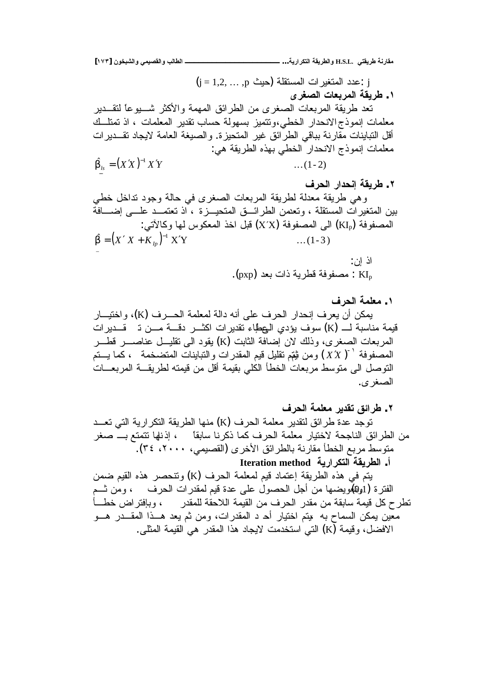**[ÎÔÐ] ƇƍŤŕŬƃŒƍƑƆƒŮƀƃŒƍŔƃœűƃŒººººººººººººººººººººº ...ŗƒŧŒŧƂřƃŒŗƀƒŧűƃŒƍ H.S.L. ƑřƀƒŧűŗƈŧœƀƆ**  $j = 1, 2, ..., p$  أي المستقلة (حبث) غدد المتغبر ات المستقلة (حبث) **ƎŧźŮƃŒŘœŶŕŧƆƃŒŗƀƒŧű .Î** تعد طريقة المربعات الصغر ي من الطر ائق المهمة والأكثر شــــبو عا لتقـــدير معلمات إنموذج الانحدار الخطي،ونتميز بسهولة حساب نقدير المعلمات ، اذ تمتلك أقل النباينات مقارنة بباقي الطرائق غير المتحيزة. والصيغة العامة لايجاد تقـــديرات معلمات إنموذج الانحدار الخطي بهذه الطريقة هي:  $\hat{\beta}_k = (X'X)^{-1}X'Y$  ...(1-2) − **ŻŧšƃŒŧŒťšƈōŗƀƒŧű .Ï** وهي طريقة معدلة لطريقة المربعات الصغرى في حالة وجود نداخل خطي بين المتغيرات المستقلة ، وتعصن الطرائــق المتحيــزة ، اذ تعتمــد علـــي إضـــافة المصفوفة (KI<sub>p</sub>) الى المصفوفة (X´X) قبل اخذ المعكوس لها وكالآتي:  $\hat{\beta} = (X'X + K_{lp})^{-1}X'Y$  ...(1-3) \_ اذ اِن: . مصنفو فة قطر بـة ذات بـعد  $\rm{KI_{p}}$ 

**ŻŧšƃŒŗƆƄŶƆ .Î** يمكن أن يعرف إنحدار الحرف على أنه دالة لمعلمة الحـــرف (K)، واختيـــار قيمة مناسبة لـــ (K) سوف يؤدي المعطاء تقدير ات اكثــر دقـــة مـــن تــ قـــدير ات المربعات الصغرى، وذلك لان إضافة الثابت (K) بقود الى تقليــل عناصـــر قطـــر المصفوفة ``( X´X ) ومن ثيتم تقليل قيم المقدرات والنباينات المتضخمة ، كما يـــتم التوصل الي متوسط مربعات الخطأ الكلي بقيمة أقل من قيمته لطريقـــة المربعـــات الصغر ي.

**ŻŧšƃŒŗƆƄŶƆŧƒťƀřžőŒŧű .Ï** نوجد عدة طرائق لتقدير معلمة الحرف (K) منها الطريقة التكرارية التي تعــد من الطرائق الناجحة لاختيار معلمة الحرف كما ذكرنا سابقاً م إذنها تتمتع بـــ صغر منوسط مربع الخطأ مقارنة بالطرائق الأخرى (القصيمي، ٢٠٠١، ٣٤). أ. ا**لطريقة التكر**ارية Iteration method

يتم في هذه الطريقة إعتماد قيم لمعلمة الحرف (K) وتتحصر هذه القيم ضمن الفترة (1و@بويضها من أجل الحصول على عدة قيم لمقدرات الحرف ، ومن شـم تطرح كل قيمة سابقة من مقدر الحرف من القيمة اللاحقة للمقدر ، وبإفتراض خطـــــأ معين يمكن السماح به يمنم اختيار أحـ د المقدرات، ومن ثم يعد هــذا المقـــدر هـــو الافضل، وقيمة (K) التي استخدمت لايجاد هذا المقدر هي القيمة المثلي.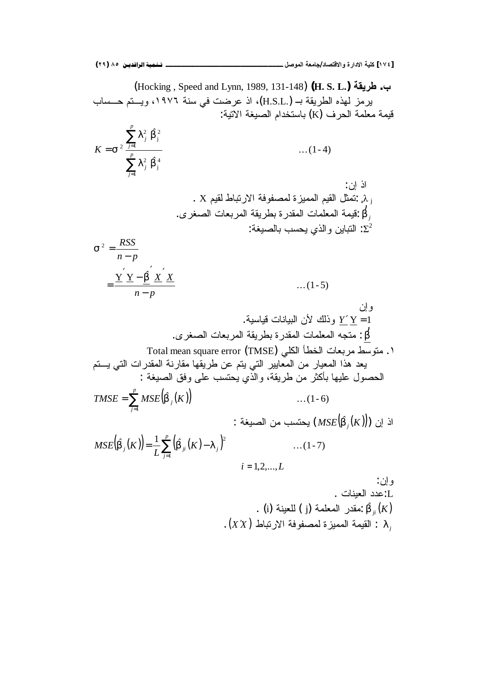(Hocking , Speed and Lynn, 1989, 131-148) **(H. S. L.) ŗƀƒŧű .Ŕ** يرمز لهذه الطريقة بـ (.H.S.L)، اذ عرضت في سنة ١٩٧٦، ويستم حــساب قيمة معلمة الحرف (K) باستخدام الصيغة الاتية:  $\dots(1-4)$ Ö Ö 1 4 j 2 1 2 j 2 2 ∑ ∑ =  $=$   $\sigma^2 \frac{j}{p}$ *j j p j j K*  $\lambda_i^2$   $\beta$  $\lambda_i^2$   $\beta$ σ  $t$ اذ  $0$ . X, انمثل القيم المميزة لمصفوفة الارتباط لقيم: β *j* ์)<br>ว่ يُقيمة المعلمات المقدرة بطريقة المربعات الصغرى. : النباين والذي يحسب بالصيغة:  $\Sigma^2$  $\dots(1-5)$  $\overline{Y} \times -\hat{\beta}$ 2  $n - p$ *X X*  $n-p$ *RSS* −  $^{\prime}$   $_{\rm v}^{\prime}$  $\Delta'$ <sub>Y</sub> – = −  $\sigma^2 =$ β و اِن .<br>*Y '* Y = 1 وذلك لأن البيانات فياسية. β  $\mathbf{r}$ : متجه المعلمات المقدرة بطريقة المربعات الصغرى. ا ـ متوسِّط مربعات الخطأ الكلي Total mean square error (TMSE) يعد هذا المعيار من المعايير التي يتم عن طريقها مقارنة المقدرات التي يـــتم الحصول عليها بأكثر من طريقة، والذي يحتسب على وفق الصيغة :  $(\hat{\beta}_{i}(K))$  ...(1-6)  $=\sum_{j=1}$ *p j*  $TMSE = \sum MSE(\beta_j(K))$ : أن إن  $\operatorname{MSE}(\hat{\beta_j}(K))$  يحتسب من الصيغة  $(\hat{\beta}_{i}(K)) = \frac{1}{K} \sum_{i=1}^{P} (\hat{\beta}_{ii}(K) - \lambda_{i})^{2}$  ...(1-7) 1  $=\frac{1}{L}\sum_{j=1}^{\nu}\left(\hat{\beta}_{ji}(K)-\lambda_{j}\right)^{2}$ *p j*  $f_{ij}(K)$  =  $\frac{1}{L} \sum_{j=1}^{L} (\beta_{ji}(K) - \lambda_{ji})$  $MSE(\beta_i(K)) = \frac{1}{2} \sum_{i=1}^{n} (\beta_{ii}(K) - \lambda$  $i = 1, 2, \dots, L$ و إن: .<br>.J:عدد العننات . . (i) مقدر المعلمة (j) ألعينة.  $\hat{\beta}_{ji}(K)$ λ*j* .( ) *X* ′*X* ųŕŗśũƛŔřžƏſŰƈƅŘŪƔƈƈƅŔřƈƔƂƅŔ :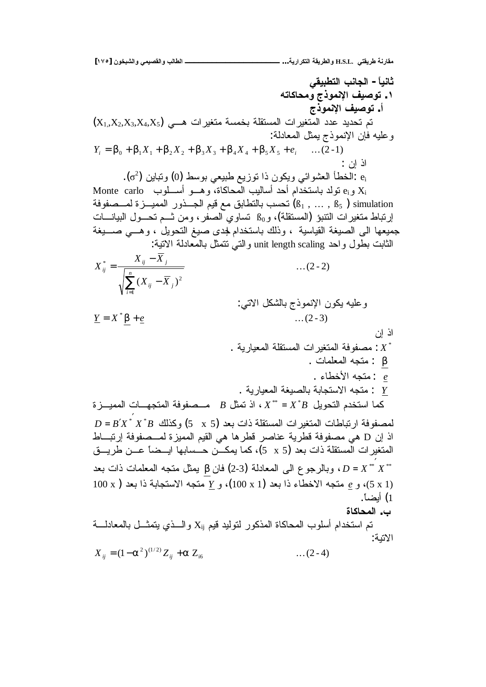. الطالب والقصيمي والشبخون [١٧٥] ثانياً – الجانب التطبيقي ١. توصيف الإنموذج ومحاكاته أ. توصيف الإنموذج  $(X_1, X_2, X_3, X_4, X_5)$  تم تحديد عدد المتغير ات المستقلة بخمسة متغير ات هـــى وعليه فإن الإنموذج بمثل المعادلة:  $Y_i = \beta_0 + \beta_1 X_1 + \beta_2 X_2 + \beta_3 X_3 + \beta_4 X_4 + \beta_5 X_5 + e_i$  ...(2-1) اذ اِن : ونباين (2). الخطأ العشوائي ويكون ذا نوزيع طبيعي بوسط (0) ونباين (2). Monte carlo و $\kappa_i$  ونولد باستخدام أحد أساليب المحاكاة، وهـــو أســـلوب نحسب بالنطابق مع قيم الجـــذور المميـــزة لمـــصفوفة ( $6_1$  ,  $\dots$  ,  $6_5$  ) simulation إرتباط متغيرات النتبؤ (المستقلة)، وB<sub>0</sub> تساوي الصفر ، ومن شــم تحـــول الببيانــــات جميعها الى الصيغة القياسية ، وذلك باستخدام لجدى صيغ النحويل ، وهـــي صــــيغة الثابت بطول واحد unit length scaling والتـي نتمثل بالمعادلة الانتية:  $X_{ij}^* = \frac{X_{ij} - \overline{X}_j}{\sqrt{\sum_{j=1}^{n} (X_{ij} - \overline{X}_j)^2}}$  $\dots(2-2)$ وعليه يكون الإنموذج بالشكل الاتبي:  $\underline{Y} = X^* \beta + \underline{e}$  $\dots$  (2 - 3) اذ اِن . مصفوفة المتغيرات المستقلة المعيارية :  $X^{\ast}$ : متجه المعلمات .  $\beta$ : متجه الأخطاء  $e$ . متجه الاستجابة بالصبغة المعبارية . كما استخدم التحويل  $X^* = X^*B$ ، اذ تمثل  $B$  مـصفوفة المتجهــات المميـــز ة  $D = B'X^* X^* B$  لمصفو فة ار تباطات المتغير ات المستقلة ذات بعد (5 x 5) وكذلك  $B'$ اذ إن D هي مصفوفة قطرية عناصر قطرها هي القيم المميزة لمــصفوفة إرتبــاط المتغير ات المستقلة ذات بعد (5 x 5)، كما يمكـــن حـــسابها ابـــضـاً عـــن طريـــق وبالرجوع الى المعادلة (3-2) فان  $\beta$  يمثل متجه المعلمات ذات بعد  $D = X^{**} X^{**}$  $100 \text{ x}$ )، و  $e$  متجه الاخطاء ذا بعد (1 $(100 \text{ x})$ )، و  $\underline{Y}$  متجه الاستجابة ذا بعد ( x 1 1) أيضاً. ب. المحاكاة تم استخدام أسلوب المحاكاة المذكور لتوليد فيم Xij والسذى يتمثــل بالمعادلـــة الاتنة:  $X_{ii} = (1 - \alpha^2)^{(1/2)} Z_{ii} + \alpha Z_{16}$  $\dots(2-4)$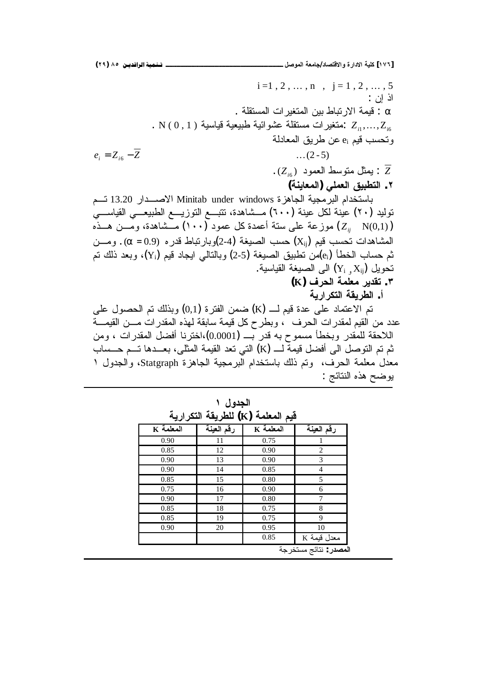|                                                                                                      | $i=1, 2, , n$ , $j=1, 2, , 5$                        |
|------------------------------------------------------------------------------------------------------|------------------------------------------------------|
|                                                                                                      | اذ اِن :                                             |
|                                                                                                      | . قيمة الارتباط بين المتغير ات المستقلة $\alpha$     |
| . N $(0\,,1\,)$ متغير ات مستقلة عشوائية طبيعية قياسية. $Z_{i1},,Z_{i6}$                              |                                                      |
|                                                                                                      | وتحسب قيم e <sub>i</sub> عن طريق المعادلة            |
| $e_i = Z_{i6} - Z$                                                                                   | $\dots(2-5)$                                         |
|                                                                                                      | . بِمثل متوسط العمود $(Z_{\scriptscriptstyle i6})$ : |
|                                                                                                      | ٢. التطبيق العملي (المعاينة)                         |
| باستخدام البرمجية الجاهزة Minitab under windows الاصــــدار 13.20 تـــم                              |                                                      |
| توليد (٢٠) عينة لكل عينة (٦٠٠) مـــشاهدة، تتبـــع التوزيــــع الطبيعــــي القياســــي                |                                                      |
| موزعة على ستة أعمدة كل عمود (١٠٠) مــشاهدة، ومـــن هـــذه $\left(Z_{ij}-\mathrm{N}(0,1)\right)$      |                                                      |
| المشاهدات نحسب قيم $\rm\left(X_{ij}\right)$ حسب الصيغة (2-4)وبارنباط قدره (0.9 $\alpha=0.9$ . ومـــن |                                                      |
| ثم حساب الخطأ (e¡)من نطبيق الصيغة (5-2) وبالتالي ايجاد قيم (Y¡)، وبعد ذلك تم                         |                                                      |
|                                                                                                      | . تحويل $\rm(Y_{i} \; , X_{ij})$ الى الصيغة القياسية |
|                                                                                                      | ٣. تقدير معلمة الحرف (K)                             |
|                                                                                                      | أ. الطريقة التكرارية                                 |
| تم الاعتماد على عدة قيم لـــ (K) ضمن الفترة (0,1) وبذلك تم الحصول على                                |                                                      |
| عدد من القيم لمقدرات الحرف  ، وبطرح كل قيمة سابقة لمهذه المقدرات مـــن القيمــــة                    |                                                      |
| اللاحقة للمقدر وبخطأ مسموح به قدر بـــ (0.0001)،اخترنا أفضل المقدرات ، ومن                           |                                                      |
| ثم تم النوصل الى أفضل قيمة لـــ (K) التي تعد القيمة المثلي، بعـــدها تـــم حـــساب                   |                                                      |
| معدل معلمة الحرف،  ونم ذلك باستخدام البرمجية الجاهزة Statgraph، والجدول ١                            |                                                      |
|                                                                                                      | بوضح هذه النتائج :                                   |
|                                                                                                      |                                                      |

| $K$ المعلمة | رقم العينة | $K$ المعلمة | رقم العينة     |
|-------------|------------|-------------|----------------|
| 0.90        | 11         | 0.75        |                |
| 0.85        | 12         | 0.90        | $\overline{2}$ |
| 0.90        | 13         | 0.90        | 3              |
| 0.90        | 14         | 0.85        | 4              |
| 0.85        | 15         | 0.80        | 5              |
| 0.75        | 16         | 0.90        | 6              |
| 0.90        | 17         | 0.80        | 7              |
| 0.85        | 18         | 0.75        | 8              |
| 0.85        | 19         | 0.75        | 9              |
| 0.90        | 20         | 0.95        | 10             |
|             |            | 0.85        |                |

الجدول ۱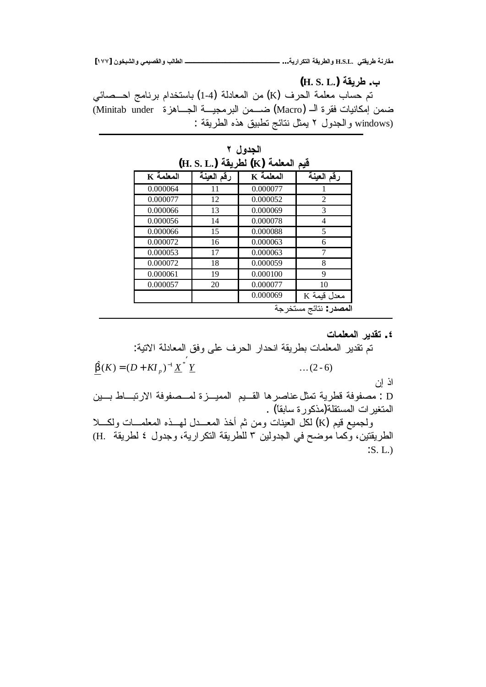**[ÎÔÔ] ƇƍŤŕŬƃŒƍƑƆƒŮƀƃŒƍŔƃœűƃŒººººººººººººººººººººº ...ŗƒŧŒŧƂřƃŒŗƀƒŧűƃŒƍ H.S.L. ƑřƀƒŧűŗƈŧœƀƆ**

**(H. S. L.)ŗƀƒŧű .Ŕ**

نم حساب معلمة الحرف (K) من المعادلة (4-1) باستخدام برنامج احــصائي ضمن إمكانيات فقرة الــ (Macro) ضـــمن البرمجيـــة الجـــاهزة Minitab under) : فالجدول ٢ يمثل نتائج نطبيق هذه الطريقة ج

| (H. S. L.) لطريقة (K) (K) فيم المعلمة |            |           |                                |  |
|---------------------------------------|------------|-----------|--------------------------------|--|
| $\overline{K}$ المعلمة                | رقم العينة | K المعلمة | رقم العينة                     |  |
| 0.000064                              | 11         | 0.000077  |                                |  |
| 0.000077                              | 12         | 0.000052  | 2                              |  |
| 0.000066                              | 13         | 0.000069  | 3                              |  |
| 0.000056                              | 14         | 0.000078  | 4                              |  |
| 0.000066                              | 15         | 0.000088  | 5                              |  |
| 0.000072                              | 16         | 0.000063  | 6                              |  |
| 0.000053                              | 17         | 0.000063  | 7                              |  |
| 0.000072                              | 18         | 0.000059  | 8                              |  |
| 0.000061                              | 19         | 0.000100  | 9                              |  |
| 0.000057                              | 20         | 0.000077  | 10                             |  |
|                                       |            | 0.000069  | K معدل قيمة                    |  |
|                                       |            |           | ا <b>لمصدر</b> : نتائج مستخرجة |  |

الجدول ۲

**ŘœƆƄŶƆƃŒŧƒťƀř .Ñ**

تم تقدير المعلمات بطريةة انحدار الحرف على وفق المعادية الاتية:  
\n
$$
\underline{\hat{\beta}}(K) = (D + K I_p)^{-1} \underline{X}^* \underline{Y}
$$
\nL : (c) ...  
\nL : مصفوفة قطرية نمثل عناصرها القیم المميدزة لمصفوفة الارتباط بـين  
\nالمنغيرات المستقلة(مذكورة سابقا) .  
\nواجميع قیم (K) لكل العينات ومن تم أخذ المعـدل لهـذه المطمـات ولكـلا  
\nالطريقتين، وكما موصح في الجدولين ۳ للطريةة التكرارية، وجدول ۶ لطريةة .H).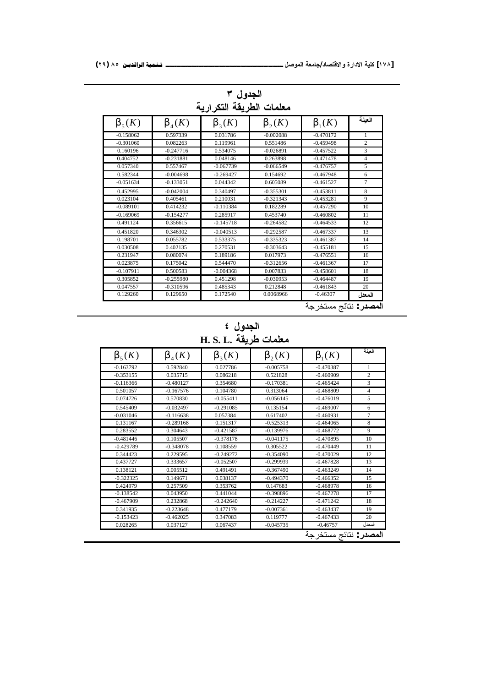| الجدول ۳<br>معلمات الطريقة التكرارية |              |              |                |                       |                |
|--------------------------------------|--------------|--------------|----------------|-----------------------|----------------|
| $\beta_5(K)$                         | $\beta_4(K)$ | $\beta_3(K)$ | $\beta_{2}(K)$ | $\beta_1(K)$          | العينة         |
| $-0.158062$                          | 0.597339     | 0.031786     | $-0.002088$    | $-0.470172$           | 1              |
| $-0.301060$                          | 0.082263     | 0.119961     | 0.551486       | $-0.459498$           | $\overline{c}$ |
| 0.160196                             | $-0.247716$  | 0.534075     | $-0.026891$    | $-0.457522$           | 3              |
| 0.404752                             | $-0.231881$  | 0.048146     | 0.263898       | $-0.471478$           | $\overline{4}$ |
| 0.057340                             | 0.557467     | $-0.067739$  | $-0.066549$    | $-0.476757$           | 5              |
| 0.582344                             | $-0.004698$  | $-0.269427$  | 0.154692       | $-0.467948$           | 6              |
| $-0.051634$                          | $-0.133051$  | 0.044342     | 0.605089       | $-0.461527$           | $\overline{7}$ |
| 0.452995                             | $-0.042004$  | 0.340497     | $-0.355301$    | $-0.453811$           | 8              |
| 0.023104                             | 0.405461     | 0.210031     | $-0.321343$    | $-0.453281$           | 9              |
| $-0.089101$                          | 0.414232     | $-0.110384$  | 0.182289       | $-0.457290$           | 10             |
| $-0.169069$                          | $-0.154277$  | 0.285917     | 0.453740       | $-0.460802$           | 11             |
| 0.491124                             | 0.356615     | $-0.145718$  | $-0.264582$    | $-0.464533$           | 12             |
| 0.451820                             | 0.346302     | $-0.040513$  | $-0.292587$    | $-0.467337$           | 13             |
| 0.198701                             | 0.055782     | 0.533375     | $-0.335323$    | $-0.461387$           | 14             |
| 0.030508                             | 0.402135     | 0.270531     | $-0.303643$    | $-0.455181$           | 15             |
| 0.231947                             | 0.080074     | 0.189186     | 0.017973       | $-0.476551$           | 16             |
| 0.023875                             | 0.175042     | 0.544470     | $-0.312656$    | $-0.461367$           | 17             |
| $-0.107911$                          | 0.500583     | $-0.004368$  | 0.007833       | $-0.458601$           | 18             |
| 0.305852                             | $-0.255980$  | 0.451298     | $-0.030953$    | $-0.464487$           | 19             |
| 0.047557                             | $-0.310596$  | 0.485343     | 0.212848       | $-0.461843$           | 20             |
| 0.129260                             | 0.129650     | 0.172540     | 0.0068966      | $-0.46307$<br>$\cdot$ | المعدل         |

<mark>المصد</mark>ر : نتائج مستخرجة

ا**لجدول ٤** H. S. L. معلمات طريقة

| العينة         | $\beta_1(K)$ | $\beta_2(K)$ | $\beta_3(K)$ | $\beta_4(K)$ | $\beta_5(K)$ |
|----------------|--------------|--------------|--------------|--------------|--------------|
| $\mathbf{1}$   | $-0.470387$  | $-0.005758$  | 0.027786     | 0.592840     | $-0.163792$  |
| $\overline{2}$ | $-0.460909$  | 0.521828     | 0.086218     | 0.035715     | $-0.353155$  |
| 3              | $-0.465424$  | $-0.170381$  | 0.354680     | $-0.480127$  | $-0.116366$  |
| $\overline{4}$ | $-0.468809$  | 0.313064     | 0.104780     | $-0.167576$  | 0.501057     |
| 5              | $-0.476019$  | $-0.056145$  | $-0.055411$  | 0.570830     | 0.074726     |
| 6              | $-0.469007$  | 0.135154     | $-0.291085$  | $-0.032497$  | 0.545409     |
| $\tau$         | $-0.460931$  | 0.617402     | 0.057384     | $-0.116638$  | $-0.031046$  |
| 8              | $-0.464065$  | $-0.525313$  | 0.151317     | $-0.289168$  | 0.131167     |
| 9              | $-0.468772$  | $-0.139976$  | $-0.421587$  | 0.304643     | 0.283552     |
| 10             | $-0.470895$  | $-0.041175$  | $-0.378178$  | 0.105507     | $-0.481446$  |
| 11             | $-0.470449$  | 0.305522     | 0.108559     | $-0.348078$  | $-0.429789$  |
| 12             | $-0.470029$  | $-0.354090$  | $-0.249272$  | 0.229595     | 0.344423     |
| 13             | $-0.467828$  | $-0.299939$  | $-0.052507$  | 0.333657     | 0.437727     |
| 14             | $-0.463249$  | $-0.367490$  | 0.491491     | 0.005512     | 0.138121     |
| 15             | $-0.466352$  | $-0.494370$  | 0.038137     | 0.149671     | $-0.322325$  |
| 16             | $-0.468978$  | 0.147683     | 0.353762     | 0.257509     | 0.424979     |
| 17             | $-0.467278$  | $-0.398896$  | 0.441044     | 0.043950     | $-0.138542$  |
| 18             | $-0.471242$  | $-0.214227$  | $-0.242640$  | 0.232868     | $-0.467909$  |
| 19             | $-0.463437$  | $-0.007361$  | 0.477179     | $-0.223648$  | 0.341935     |
| 20             | $-0.467433$  | 0.119777     | 0.347083     | $-0.462025$  | $-0.153423$  |
| المعدل         | $-0.46757$   | $-0.045735$  | 0.067437     | 0.037127     | 0.028265     |